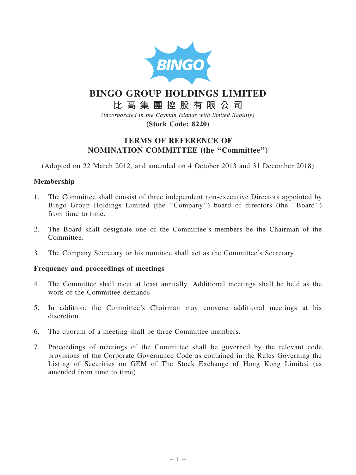

# BINGO GROUP HOLDINGS LIMITED

## 比 高 集 團 控 股 有 限 公 司

(incorporated in the Cayman Islands with limited liability) (Stock Code: 8220)

## TERMS OF REFERENCE OF NOMINATION COMMITTEE (the ''Committee'')

(Adopted on 22 March 2012, and amended on 4 October 2013 and 31 December 2018)

### Membership

- 1. The Committee shall consist of three independent non-executive Directors appointed by Bingo Group Holdings Limited (the ''Company'') board of directors (the ''Board'') from time to time.
- 2. The Board shall designate one of the Committee's members be the Chairman of the Committee.
- 3. The Company Secretary or his nominee shall act as the Committee's Secretary.

#### Frequency and proceedings of meetings

- 4. The Committee shall meet at least annually. Additional meetings shall be held as the work of the Committee demands.
- 5. In addition, the Committee's Chairman may convene additional meetings at his discretion.
- 6. The quorum of a meeting shall be three Committee members.
- 7. Proceedings of meetings of the Committee shall be governed by the relevant code provisions of the Corporate Governance Code as contained in the Rules Governing the Listing of Securities on GEM of The Stock Exchange of Hong Kong Limited (as amended from time to time).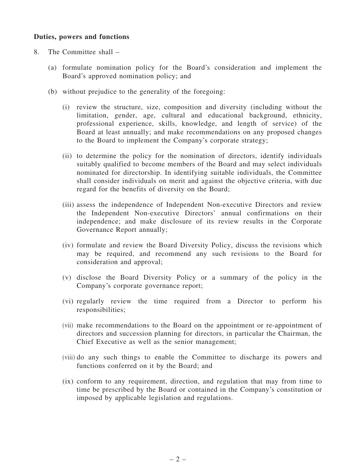#### Duties, powers and functions

- 8. The Committee shall
	- (a) formulate nomination policy for the Board's consideration and implement the Board's approved nomination policy; and
	- (b) without prejudice to the generality of the foregoing:
		- (i) review the structure, size, composition and diversity (including without the limitation, gender, age, cultural and educational background, ethnicity, professional experience, skills, knowledge, and length of service) of the Board at least annually; and make recommendations on any proposed changes to the Board to implement the Company's corporate strategy;
		- (ii) to determine the policy for the nomination of directors, identify individuals suitably qualified to become members of the Board and may select individuals nominated for directorship. In identifying suitable individuals, the Committee shall consider individuals on merit and against the objective criteria, with due regard for the benefits of diversity on the Board;
		- (iii) assess the independence of Independent Non-executive Directors and review the Independent Non-executive Directors' annual confirmations on their independence; and make disclosure of its review results in the Corporate Governance Report annually;
		- (iv) formulate and review the Board Diversity Policy, discuss the revisions which may be required, and recommend any such revisions to the Board for consideration and approval;
		- (v) disclose the Board Diversity Policy or a summary of the policy in the Company's corporate governance report;
		- (vi) regularly review the time required from a Director to perform his responsibilities;
		- (vii) make recommendations to the Board on the appointment or re-appointment of directors and succession planning for directors, in particular the Chairman, the Chief Executive as well as the senior management;
		- (viii) do any such things to enable the Committee to discharge its powers and functions conferred on it by the Board; and
		- (ix) conform to any requirement, direction, and regulation that may from time to time be prescribed by the Board or contained in the Company's constitution or imposed by applicable legislation and regulations.